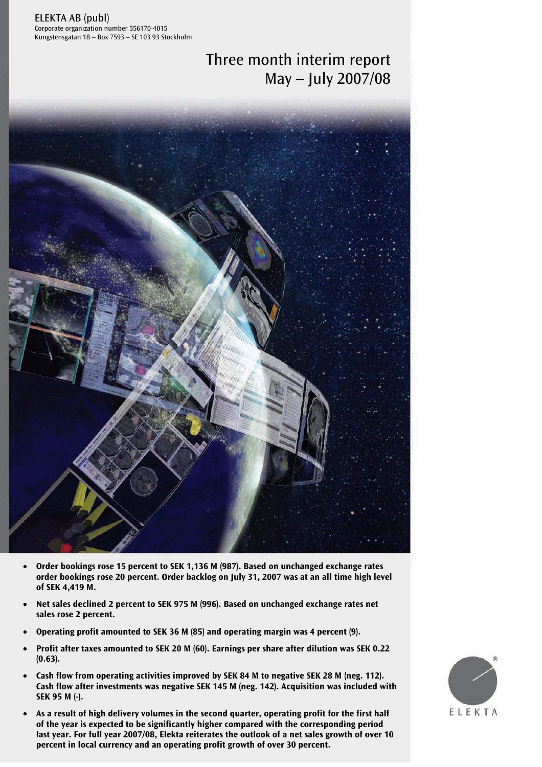ELEKTA AB (publ) Corporate organization number 556170-4015 Kungstensgatan 18 – Box 7593 – SE 103 93 Stockholm

# Three month interim report May – July 2007/08



- **Order bookings rose 15 percent to SEK 1,136 M (987). Based on unchanged exchange rates order bookings rose 20 percent. Order backlog on July 31, 2007 was at an all time high level of SEK 4,419 M.**
- **Net sales declined 2 percent to SEK 975 M (996). Based on unchanged exchange rates net sales rose 2 percent.**
- **Operating profit amounted to SEK 36 M (85) and operating margin was 4 percent (9).**
- **Profit after taxes amounted to SEK 20 M (60). Earnings per share after dilution was SEK 0.22 (0.63).**
- **Cash flow from operating activities improved by SEK 84 M to negative SEK 28 M (neg. 112). Cash flow after investments was negative SEK 145 M (neg. 142). Acquisition was included with SEK 95 M (-).**
- or the year is expected to be significantly inglief compared with the corresponding period<br>last year. For full year 2007/08, Elekta reiterates the outlook of a net sales growth of over 10 • **As a result of high delivery volumes in the second quarter, operating profit for the first half of the year is expected to be significantly higher compared with the corresponding period percent in local currency and an operating profit growth of over 30 percent.**

![](_page_0_Picture_9.jpeg)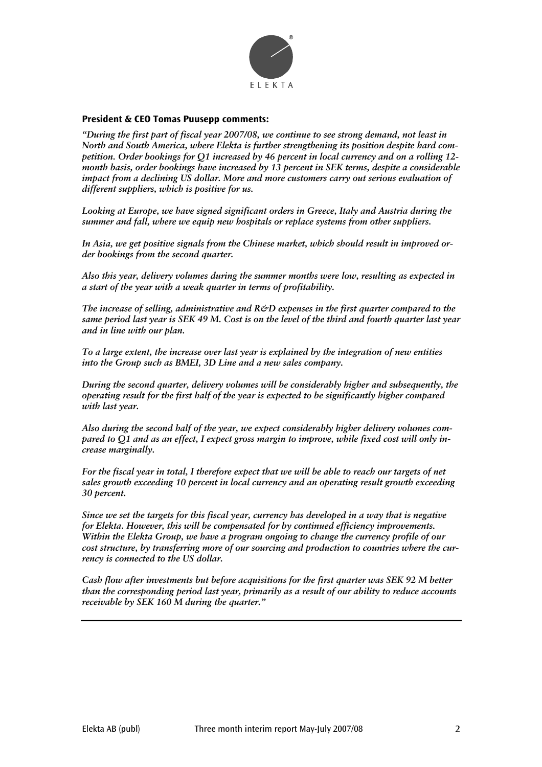![](_page_1_Picture_0.jpeg)

#### **President & CEO Tomas Puusepp comments:**

*"During the first part of fiscal year 2007/08, we continue to see strong demand, not least in North and South America, where Elekta is further strengthening its position despite hard competition. Order bookings for Q1 increased by 46 percent in local currency and on a rolling 12 month basis, order bookings have increased by 13 percent in SEK terms, despite a considerable impact from a declining US dollar. More and more customers carry out serious evaluation of different suppliers, which is positive for us.* 

*Looking at Europe, we have signed significant orders in Greece, Italy and Austria during the summer and fall, where we equip new hospitals or replace systems from other suppliers.* 

*In Asia, we get positive signals from the Chinese market, which should result in improved order bookings from the second quarter.* 

*Also this year, delivery volumes during the summer months were low, resulting as expected in a start of the year with a weak quarter in terms of profitability.* 

*The increase of selling, administrative and R&D expenses in the first quarter compared to the same period last year is SEK 49 M. Cost is on the level of the third and fourth quarter last year and in line with our plan.* 

*To a large extent, the increase over last year is explained by the integration of new entities into the Group such as BMEI, 3D Line and a new sales company.* 

*During the second quarter, delivery volumes will be considerably higher and subsequently, the operating result for the first half of the year is expected to be significantly higher compared with last year.* 

*Also during the second half of the year, we expect considerably higher delivery volumes compared to Q1 and as an effect, I expect gross margin to improve, while fixed cost will only increase marginally.* 

*For the fiscal year in total, I therefore expect that we will be able to reach our targets of net sales growth exceeding 10 percent in local currency and an operating result growth exceeding 30 percent.* 

*Since we set the targets for this fiscal year, currency has developed in a way that is negative for Elekta. However, this will be compensated for by continued efficiency improvements. Within the Elekta Group, we have a program ongoing to change the currency profile of our cost structure, by transferring more of our sourcing and production to countries where the currency is connected to the US dollar.* 

*Cash flow after investments but before acquisitions for the first quarter was SEK 92 M better than the corresponding period last year, primarily as a result of our ability to reduce accounts receivable by SEK 160 M during the quarter."*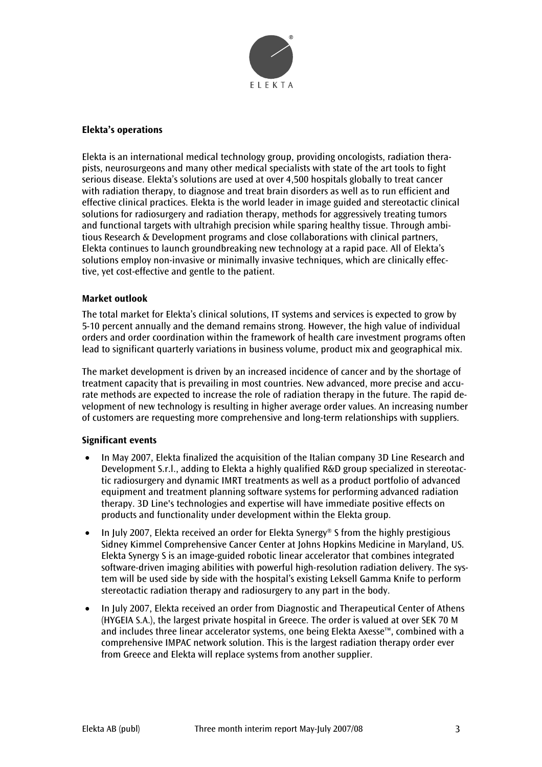![](_page_2_Picture_0.jpeg)

#### **Elekta's operations**

Elekta is an international medical technology group, providing oncologists, radiation therapists, neurosurgeons and many other medical specialists with state of the art tools to fight serious disease. Elekta's solutions are used at over 4,500 hospitals globally to treat cancer with radiation therapy, to diagnose and treat brain disorders as well as to run efficient and effective clinical practices. Elekta is the world leader in image guided and stereotactic clinical solutions for radiosurgery and radiation therapy, methods for aggressively treating tumors and functional targets with ultrahigh precision while sparing healthy tissue. Through ambitious Research & Development programs and close collaborations with clinical partners, Elekta continues to launch groundbreaking new technology at a rapid pace. All of Elekta's solutions employ non-invasive or minimally invasive techniques, which are clinically effective, yet cost-effective and gentle to the patient.

#### **Market outlook**

The total market for Elekta's clinical solutions, IT systems and services is expected to grow by 5-10 percent annually and the demand remains strong. However, the high value of individual orders and order coordination within the framework of health care investment programs often lead to significant quarterly variations in business volume, product mix and geographical mix.

The market development is driven by an increased incidence of cancer and by the shortage of treatment capacity that is prevailing in most countries. New advanced, more precise and accurate methods are expected to increase the role of radiation therapy in the future. The rapid development of new technology is resulting in higher average order values. An increasing number of customers are requesting more comprehensive and long-term relationships with suppliers.

#### **Significant events**

- In May 2007, Elekta finalized the acquisition of the Italian company 3D Line Research and Development S.r.l., adding to Elekta a highly qualified R&D group specialized in stereotactic radiosurgery and dynamic IMRT treatments as well as a product portfolio of advanced equipment and treatment planning software systems for performing advanced radiation therapy. 3D Line's technologies and expertise will have immediate positive effects on products and functionality under development within the Elekta group.
- In July 2007, Elekta received an order for Elekta Synergy® S from the highly prestigious Sidney Kimmel Comprehensive Cancer Center at Johns Hopkins Medicine in Maryland, US. Elekta Synergy S is an image-guided robotic linear accelerator that combines integrated software-driven imaging abilities with powerful high-resolution radiation delivery. The system will be used side by side with the hospital's existing Leksell Gamma Knife to perform stereotactic radiation therapy and radiosurgery to any part in the body.
- In July 2007, Elekta received an order from Diagnostic and Therapeutical Center of Athens (HYGEIA S.A.), the largest private hospital in Greece. The order is valued at over SEK 70 M and includes three linear accelerator systems, one being Elekta Axesse™, combined with a comprehensive IMPAC network solution. This is the largest radiation therapy order ever from Greece and Elekta will replace systems from another supplier.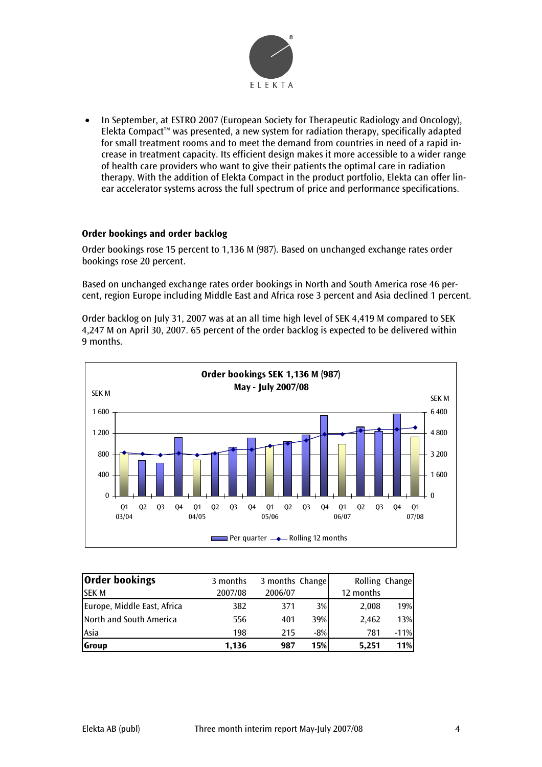![](_page_3_Picture_0.jpeg)

• In September, at ESTRO 2007 (European Society for Therapeutic Radiology and Oncology), Elekta Compact™ was presented, a new system for radiation therapy, specifically adapted for small treatment rooms and to meet the demand from countries in need of a rapid increase in treatment capacity. Its efficient design makes it more accessible to a wider range of health care providers who want to give their patients the optimal care in radiation therapy. With the addition of Elekta Compact in the product portfolio, Elekta can offer linear accelerator systems across the full spectrum of price and performance specifications.

#### **Order bookings and order backlog**

Order bookings rose 15 percent to 1,136 M (987). Based on unchanged exchange rates order bookings rose 20 percent.

Based on unchanged exchange rates order bookings in North and South America rose 46 percent, region Europe including Middle East and Africa rose 3 percent and Asia declined 1 percent.

Order backlog on July 31, 2007 was at an all time high level of SEK 4,419 M compared to SEK 4,247 M on April 30, 2007. 65 percent of the order backlog is expected to be delivered within 9 months.

![](_page_3_Figure_6.jpeg)

| Order bookings                   | 3 months | 3 months Change |       |           | Rolling Change |
|----------------------------------|----------|-----------------|-------|-----------|----------------|
| <b>SEKM</b>                      | 2007/08  | 2006/07         |       | 12 months |                |
| Europe, Middle East, Africa      | 382      | 371             | 3%    | 2,008     | 19%            |
| <b>I</b> North and South America | 556      | 401             | 39%   | 2,462     | 13%            |
| Asia                             | 198      | 215             | $-8%$ | 781       | $-11%$         |
| <b>Group</b>                     | 1,136    | 987             | 15%   | 5.251     | 11%            |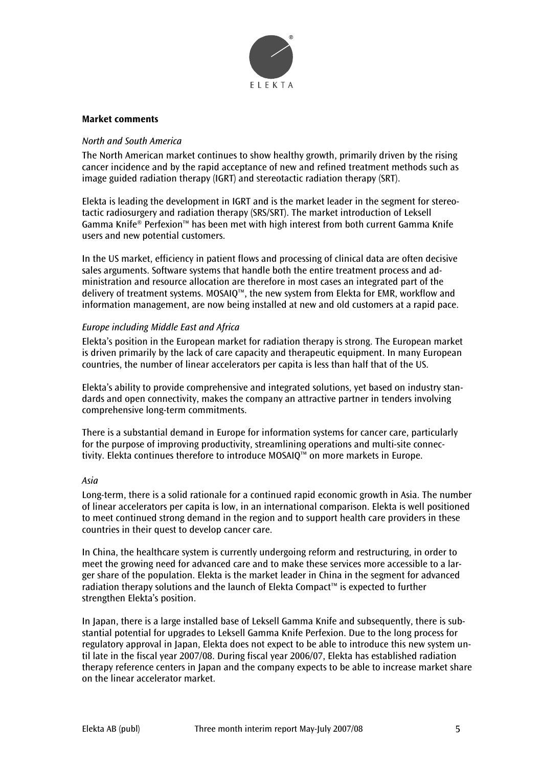![](_page_4_Picture_0.jpeg)

#### **Market comments**

#### *North and South America*

The North American market continues to show healthy growth, primarily driven by the rising cancer incidence and by the rapid acceptance of new and refined treatment methods such as image guided radiation therapy (IGRT) and stereotactic radiation therapy (SRT).

Elekta is leading the development in IGRT and is the market leader in the segment for stereotactic radiosurgery and radiation therapy (SRS/SRT). The market introduction of Leksell Gamma Knife® Perfexion™ has been met with high interest from both current Gamma Knife users and new potential customers.

In the US market, efficiency in patient flows and processing of clinical data are often decisive sales arguments. Software systems that handle both the entire treatment process and administration and resource allocation are therefore in most cases an integrated part of the delivery of treatment systems. MOSAIQ™, the new system from Elekta for EMR, workflow and information management, are now being installed at new and old customers at a rapid pace.

#### *Europe including Middle East and Africa*

Elekta's position in the European market for radiation therapy is strong. The European market is driven primarily by the lack of care capacity and therapeutic equipment. In many European countries, the number of linear accelerators per capita is less than half that of the US.

Elekta's ability to provide comprehensive and integrated solutions, yet based on industry standards and open connectivity, makes the company an attractive partner in tenders involving comprehensive long-term commitments.

There is a substantial demand in Europe for information systems for cancer care, particularly for the purpose of improving productivity, streamlining operations and multi-site connectivity. Elekta continues therefore to introduce MOSAIQ™ on more markets in Europe.

#### *Asia*

Long-term, there is a solid rationale for a continued rapid economic growth in Asia. The number of linear accelerators per capita is low, in an international comparison. Elekta is well positioned to meet continued strong demand in the region and to support health care providers in these countries in their quest to develop cancer care.

In China, the healthcare system is currently undergoing reform and restructuring, in order to meet the growing need for advanced care and to make these services more accessible to a larger share of the population. Elekta is the market leader in China in the segment for advanced radiation therapy solutions and the launch of Elekta Compact™ is expected to further strengthen Elekta's position.

In Japan, there is a large installed base of Leksell Gamma Knife and subsequently, there is substantial potential for upgrades to Leksell Gamma Knife Perfexion. Due to the long process for regulatory approval in Japan, Elekta does not expect to be able to introduce this new system until late in the fiscal year 2007/08. During fiscal year 2006/07, Elekta has established radiation therapy reference centers in Japan and the company expects to be able to increase market share on the linear accelerator market.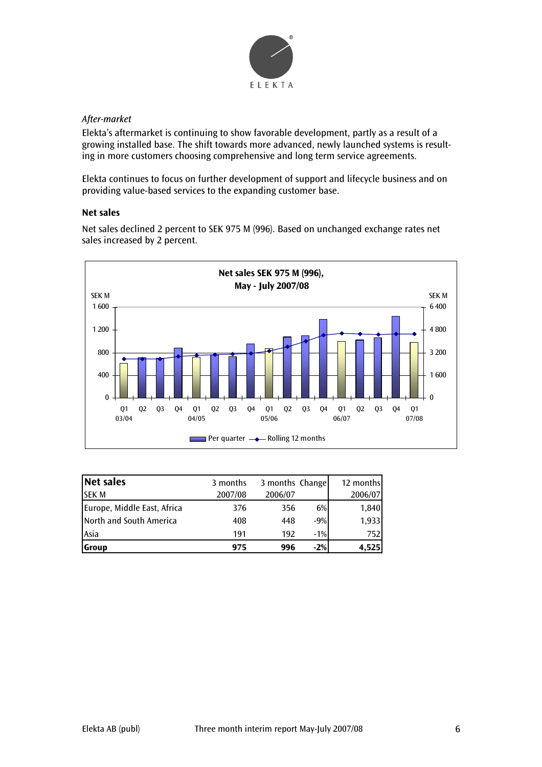![](_page_5_Picture_0.jpeg)

## *After-market*

Elekta's aftermarket is continuing to show favorable development, partly as a result of a growing installed base. The shift towards more advanced, newly launched systems is resulting in more customers choosing comprehensive and long term service agreements.

Elekta continues to focus on further development of support and lifecycle business and on providing value-based services to the expanding customer base.

### **Net sales**

Net sales declined 2 percent to SEK 975 M (996). Based on unchanged exchange rates net sales increased by 2 percent.

![](_page_5_Figure_6.jpeg)

| Net sales                   | 3 months | 3 months Change |        | 12 months |
|-----------------------------|----------|-----------------|--------|-----------|
| <b>SEKM</b>                 | 2007/08  | 2006/07         |        | 2006/07   |
| Europe, Middle East, Africa | 376      | 356             | 6%     | 1,840     |
| North and South America     | 408      | 448             | $-9%$  | 1,933     |
| Asia                        | 191      | 192             | $-1\%$ | 752       |
| <b>Scroup</b>               | 975      | 996             | $-2%$  | 4,525     |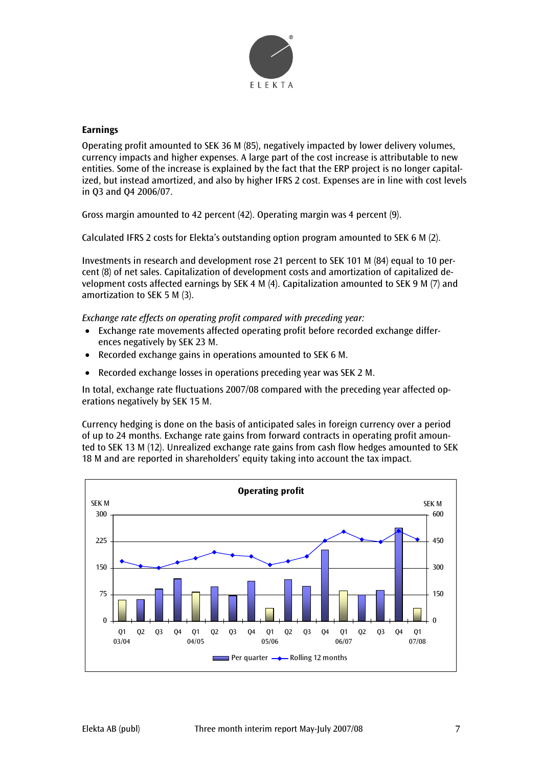![](_page_6_Picture_0.jpeg)

#### **Earnings**

Operating profit amounted to SEK 36 M (85), negatively impacted by lower delivery volumes, currency impacts and higher expenses. A large part of the cost increase is attributable to new entities. Some of the increase is explained by the fact that the ERP project is no longer capitalized, but instead amortized, and also by higher IFRS 2 cost. Expenses are in line with cost levels in Q3 and Q4 2006/07.

Gross margin amounted to 42 percent (42). Operating margin was 4 percent (9).

Calculated IFRS 2 costs for Elekta's outstanding option program amounted to SEK 6 M (2).

Investments in research and development rose 21 percent to SEK 101 M (84) equal to 10 percent (8) of net sales. Capitalization of development costs and amortization of capitalized development costs affected earnings by SEK 4 M (4). Capitalization amounted to SEK 9 M (7) and amortization to SEK 5 M (3).

*Exchange rate effects on operating profit compared with preceding year:* 

- Exchange rate movements affected operating profit before recorded exchange differences negatively by SEK 23 M.
- Recorded exchange gains in operations amounted to SEK 6 M.
- Recorded exchange losses in operations preceding year was SEK 2 M.

In total, exchange rate fluctuations 2007/08 compared with the preceding year affected operations negatively by SEK 15 M.

Currency hedging is done on the basis of anticipated sales in foreign currency over a period of up to 24 months. Exchange rate gains from forward contracts in operating profit amounted to SEK 13 M (12). Unrealized exchange rate gains from cash flow hedges amounted to SEK 18 M and are reported in shareholders' equity taking into account the tax impact.

![](_page_6_Figure_12.jpeg)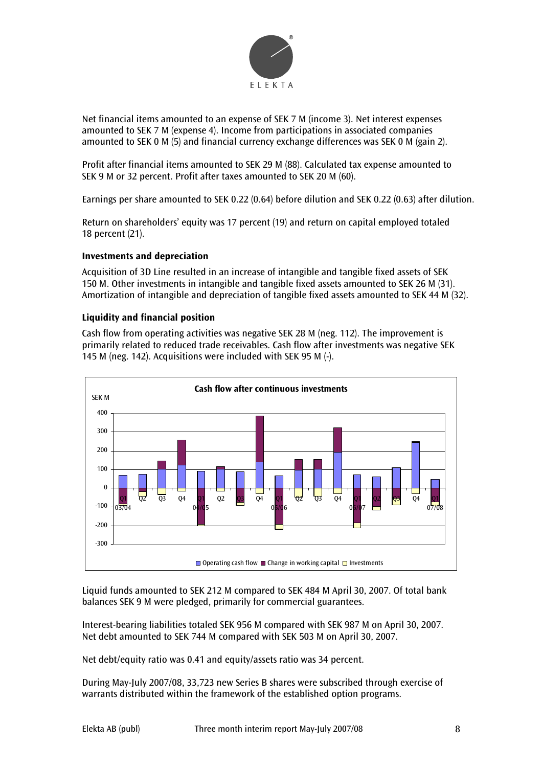![](_page_7_Picture_0.jpeg)

Net financial items amounted to an expense of SEK 7 M (income 3). Net interest expenses amounted to SEK 7 M (expense 4). Income from participations in associated companies amounted to SEK 0 M (5) and financial currency exchange differences was SEK 0 M (gain 2).

Profit after financial items amounted to SEK 29 M (88). Calculated tax expense amounted to SEK 9 M or 32 percent. Profit after taxes amounted to SEK 20 M (60).

Earnings per share amounted to SEK 0.22 (0.64) before dilution and SEK 0.22 (0.63) after dilution.

Return on shareholders' equity was 17 percent (19) and return on capital employed totaled 18 percent (21).

#### **Investments and depreciation**

Acquisition of 3D Line resulted in an increase of intangible and tangible fixed assets of SEK 150 M. Other investments in intangible and tangible fixed assets amounted to SEK 26 M (31). Amortization of intangible and depreciation of tangible fixed assets amounted to SEK 44 M (32).

#### **Liquidity and financial position**

Cash flow from operating activities was negative SEK 28 M (neg. 112). The improvement is primarily related to reduced trade receivables. Cash flow after investments was negative SEK 145 M (neg. 142). Acquisitions were included with SEK 95 M (-).

![](_page_7_Figure_9.jpeg)

Liquid funds amounted to SEK 212 M compared to SEK 484 M April 30, 2007. Of total bank balances SEK 9 M were pledged, primarily for commercial guarantees.

Interest-bearing liabilities totaled SEK 956 M compared with SEK 987 M on April 30, 2007. Net debt amounted to SEK 744 M compared with SEK 503 M on April 30, 2007.

Net debt/equity ratio was 0.41 and equity/assets ratio was 34 percent.

During May-July 2007/08, 33,723 new Series B shares were subscribed through exercise of warrants distributed within the framework of the established option programs.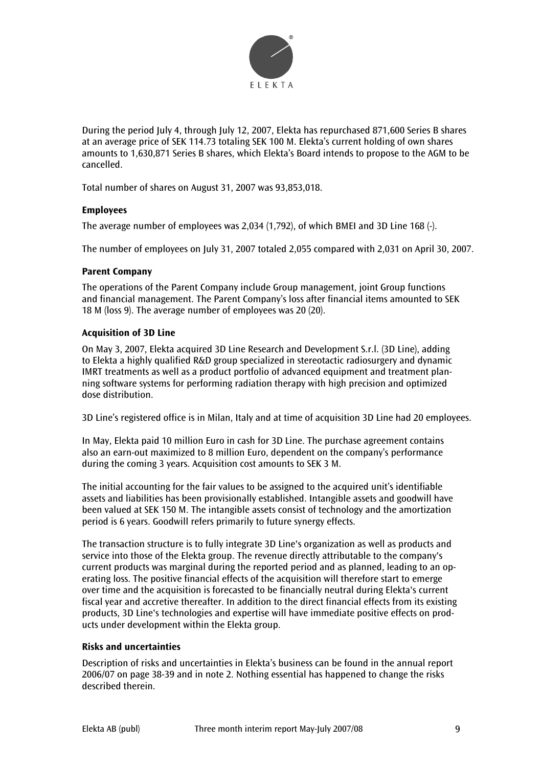![](_page_8_Picture_0.jpeg)

During the period July 4, through July 12, 2007, Elekta has repurchased 871,600 Series B shares at an average price of SEK 114.73 totaling SEK 100 M. Elekta's current holding of own shares amounts to 1,630,871 Series B shares, which Elekta's Board intends to propose to the AGM to be cancelled.

Total number of shares on August 31, 2007 was 93,853,018.

#### **Employees**

The average number of employees was 2,034 (1,792), of which BMEI and 3D Line 168 (-).

The number of employees on July 31, 2007 totaled 2,055 compared with 2,031 on April 30, 2007.

#### **Parent Company**

The operations of the Parent Company include Group management, joint Group functions and financial management. The Parent Company's loss after financial items amounted to SEK 18 M (loss 9). The average number of employees was 20 (20).

#### **Acquisition of 3D Line**

On May 3, 2007, Elekta acquired 3D Line Research and Development S.r.l. (3D Line), adding to Elekta a highly qualified R&D group specialized in stereotactic radiosurgery and dynamic IMRT treatments as well as a product portfolio of advanced equipment and treatment planning software systems for performing radiation therapy with high precision and optimized dose distribution.

3D Line's registered office is in Milan, Italy and at time of acquisition 3D Line had 20 employees.

In May, Elekta paid 10 million Euro in cash for 3D Line. The purchase agreement contains also an earn-out maximized to 8 million Euro, dependent on the company's performance during the coming 3 years. Acquisition cost amounts to SEK 3 M.

The initial accounting for the fair values to be assigned to the acquired unit's identifiable assets and liabilities has been provisionally established. Intangible assets and goodwill have been valued at SEK 150 M. The intangible assets consist of technology and the amortization period is 6 years. Goodwill refers primarily to future synergy effects.

The transaction structure is to fully integrate 3D Line's organization as well as products and service into those of the Elekta group. The revenue directly attributable to the company's current products was marginal during the reported period and as planned, leading to an operating loss. The positive financial effects of the acquisition will therefore start to emerge over time and the acquisition is forecasted to be financially neutral during Elekta's current fiscal year and accretive thereafter. In addition to the direct financial effects from its existing products, 3D Line's technologies and expertise will have immediate positive effects on products under development within the Elekta group.

#### **Risks and uncertainties**

Description of risks and uncertainties in Elekta's business can be found in the annual report 2006/07 on page 38-39 and in note 2. Nothing essential has happened to change the risks described therein.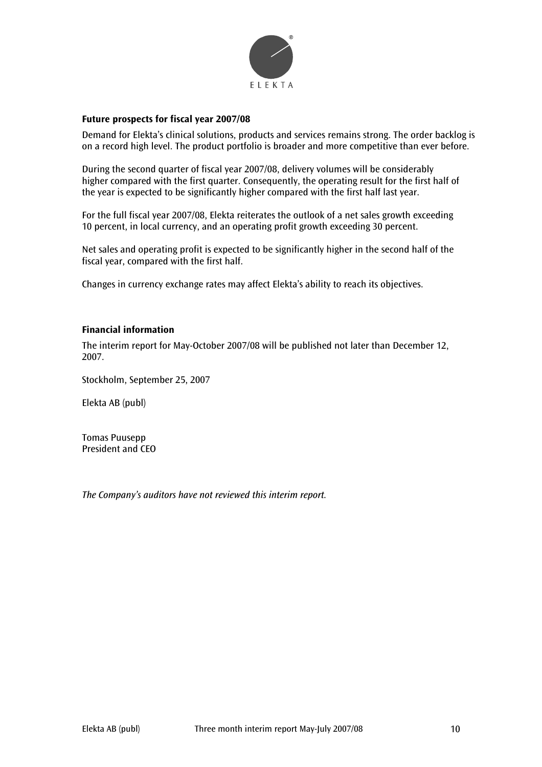![](_page_9_Picture_0.jpeg)

#### **Future prospects for fiscal year 2007/08**

Demand for Elekta's clinical solutions, products and services remains strong. The order backlog is on a record high level. The product portfolio is broader and more competitive than ever before.

During the second quarter of fiscal year 2007/08, delivery volumes will be considerably higher compared with the first quarter. Consequently, the operating result for the first half of the year is expected to be significantly higher compared with the first half last year.

For the full fiscal year 2007/08, Elekta reiterates the outlook of a net sales growth exceeding 10 percent, in local currency, and an operating profit growth exceeding 30 percent.

Net sales and operating profit is expected to be significantly higher in the second half of the fiscal year, compared with the first half.

Changes in currency exchange rates may affect Elekta's ability to reach its objectives.

#### **Financial information**

The interim report for May-October 2007/08 will be published not later than December 12, 2007.

Stockholm, September 25, 2007

Elekta AB (publ)

Tomas Puusepp President and CEO

*The Company's auditors have not reviewed this interim report.*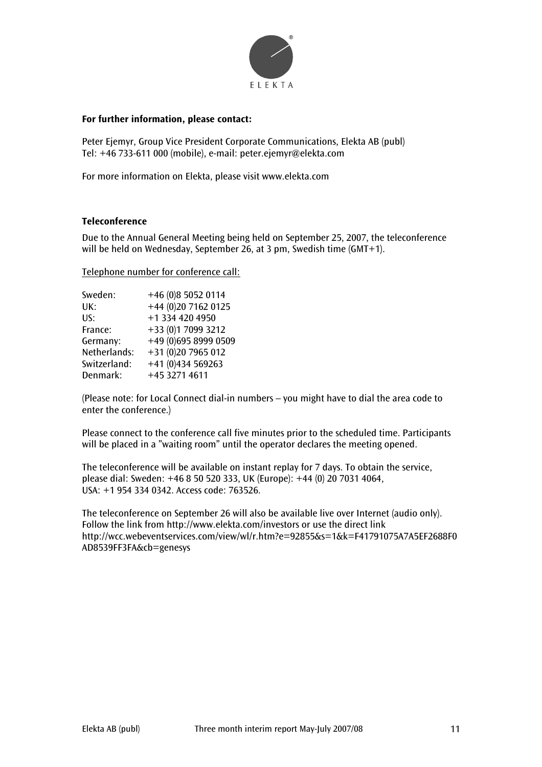![](_page_10_Picture_0.jpeg)

#### **For further information, please contact:**

Peter Ejemyr, Group Vice President Corporate Communications, Elekta AB (publ) Tel: +46 733-611 000 (mobile), e-mail: peter.ejemyr@elekta.com

For more information on Elekta, please visit www.elekta.com

#### **Teleconference**

Due to the Annual General Meeting being held on September 25, 2007, the teleconference will be held on Wednesday, September 26, at 3 pm, Swedish time (GMT+1).

#### Telephone number for conference call:

| Sweden:      | +46 (0)8 5052 0114   |
|--------------|----------------------|
| UK:          | +44 (0)20 7162 0125  |
| US:          | +1 334 420 4950      |
| France:      | +33 (0)1 7099 3212   |
| Germany:     | +49 (0)695 8999 0509 |
| Netherlands: | +31 (0)20 7965 012   |
| Switzerland: | +41 (0)434 569263    |
| Denmark:     | +45 3271 4611        |

(Please note: for Local Connect dial-in numbers – you might have to dial the area code to enter the conference.)

Please connect to the conference call five minutes prior to the scheduled time. Participants will be placed in a "waiting room" until the operator declares the meeting opened.

The teleconference will be available on instant replay for 7 days. To obtain the service, please dial: Sweden: +46 8 50 520 333, UK (Europe): +44 (0) 20 7031 4064, USA: +1 954 334 0342. Access code: 763526.

The teleconference on September 26 will also be available live over Internet (audio only). Follow the link from http://www.elekta.com/investors or use the direct link http://wcc.webeventservices.com/view/wl/r.htm?e=92855&s=1&k=F41791075A7A5EF2688F0 AD8539FF3FA&cb=genesys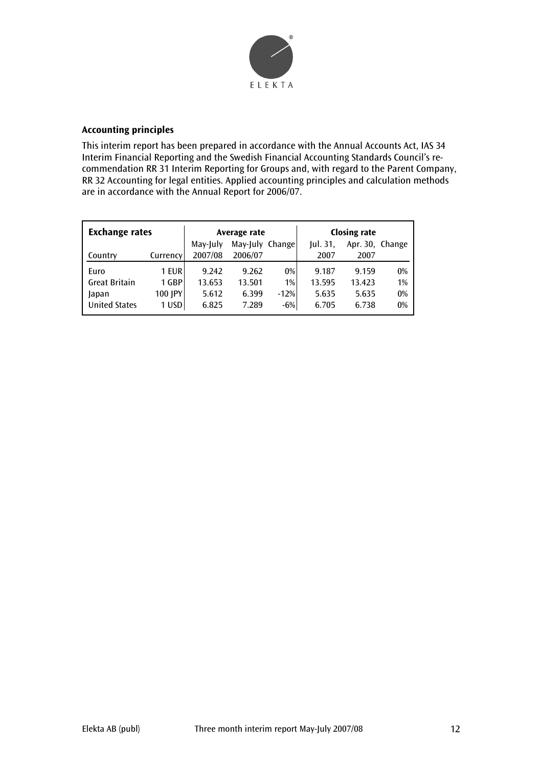![](_page_11_Picture_0.jpeg)

#### **Accounting principles**

This interim report has been prepared in accordance with the Annual Accounts Act, IAS 34 Interim Financial Reporting and the Swedish Financial Accounting Standards Council's recommendation RR 31 Interim Reporting for Groups and, with regard to the Parent Company, RR 32 Accounting for legal entities. Applied accounting principles and calculation methods are in accordance with the Annual Report for 2006/07.

| <b>Exchange rates</b> |          |          | Average rate    |        |         | <b>Closing rate</b> |       |
|-----------------------|----------|----------|-----------------|--------|---------|---------------------|-------|
|                       |          | May-July | May-July Change |        | ul. 31, | Apr. 30, Change     |       |
| Country               | Currency | 2007/08  | 2006/07         |        | 2007    | 2007                |       |
| Euro                  | 1 EUR    | 9.242    | 9.262           | 0%     | 9.187   | 9.159               | $0\%$ |
| <b>Great Britain</b>  | 1 GBP    | 13.653   | 13.501          | 1%     | 13.595  | 13.423              | 1%    |
| Japan                 | 100 JPY  | 5.612    | 6.399           | $-12%$ | 5.635   | 5.635               | 0%    |
| <b>United States</b>  | 1 USD    | 6.825    | 7.289           | $-6%$  | 6.705   | 6.738               | 0%    |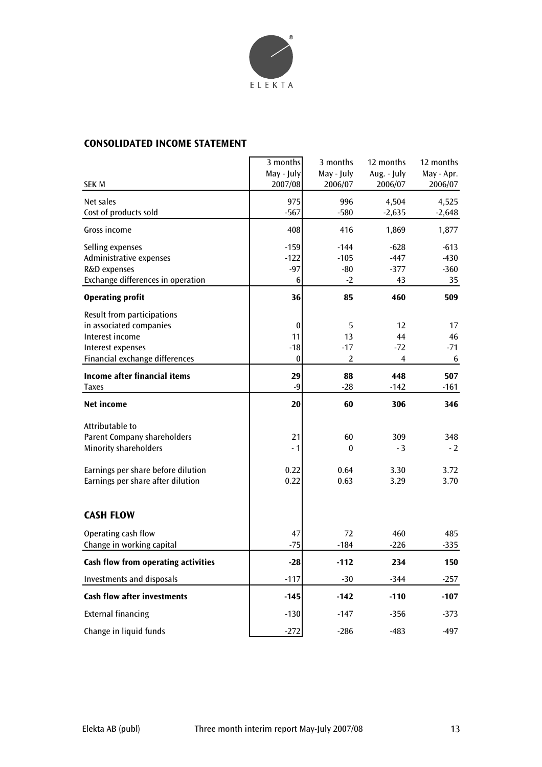![](_page_12_Picture_0.jpeg)

# **CONSOLIDATED INCOME STATEMENT**

|                                                                                                                                 | 3 months<br>May - July         | 3 months<br>May - July             | 12 months<br>Aug. - July         | 12 months<br>May - Apr.          |
|---------------------------------------------------------------------------------------------------------------------------------|--------------------------------|------------------------------------|----------------------------------|----------------------------------|
| <b>SEK M</b>                                                                                                                    | 2007/08                        | 2006/07                            | 2006/07                          | 2006/07                          |
| Net sales<br>Cost of products sold                                                                                              | 975<br>$-567$                  | 996<br>$-580$                      | 4,504<br>$-2,635$                | 4,525<br>$-2,648$                |
| Gross income                                                                                                                    | 408                            | 416                                | 1,869                            | 1,877                            |
| Selling expenses<br>Administrative expenses<br>R&D expenses<br>Exchange differences in operation                                | $-159$<br>$-122$<br>$-97$<br>6 | $-144$<br>$-105$<br>$-80$<br>$-2$  | $-628$<br>$-447$<br>$-377$<br>43 | $-613$<br>$-430$<br>$-360$<br>35 |
| <b>Operating profit</b>                                                                                                         | 36                             | 85                                 | 460                              | 509                              |
| Result from participations<br>in associated companies<br>Interest income<br>Interest expenses<br>Financial exchange differences | 0<br>11<br>$-18$<br>$\bf{0}$   | 5<br>13<br>$-17$<br>$\overline{2}$ | 12<br>44<br>$-72$<br>4           | 17<br>46<br>$-71$<br>6           |
| Income after financial items<br><b>Taxes</b>                                                                                    | 29<br>$-9$                     | 88<br>$-28$                        | 448<br>$-142$                    | 507<br>$-161$                    |
| Net income                                                                                                                      | 20                             | 60                                 | 306                              | 346                              |
| Attributable to<br><b>Parent Company shareholders</b><br><b>Minority shareholders</b><br>Earnings per share before dilution     | 21<br>- 1<br>0.22              | 60<br>$\bf{0}$<br>0.64             | 309<br>$-3$<br>3.30              | 348<br>$-2$<br>3.72              |
| Earnings per share after dilution                                                                                               | 0.22                           | 0.63                               | 3.29                             | 3.70                             |
| <b>CASH FLOW</b>                                                                                                                |                                |                                    |                                  |                                  |
| Operating cash flow<br>Change in working capital                                                                                | 47<br>$-75$                    | 72<br>$-184$                       | 460<br>$-226$                    | 485<br>$-335$                    |
| Cash flow from operating activities                                                                                             | $-28$                          | $-112$                             | 234                              | 150                              |
| <b>Investments and disposals</b>                                                                                                | $-117$                         | $-30$                              | $-344$                           | $-257$                           |
| <b>Cash flow after investments</b>                                                                                              | $-145$                         | $-142$                             | $-110$                           | $-107$                           |
| <b>External financing</b>                                                                                                       | $-130$                         | $-147$                             | $-356$                           | $-373$                           |
| Change in liquid funds                                                                                                          | $-272$                         | $-286$                             | $-483$                           | $-497$                           |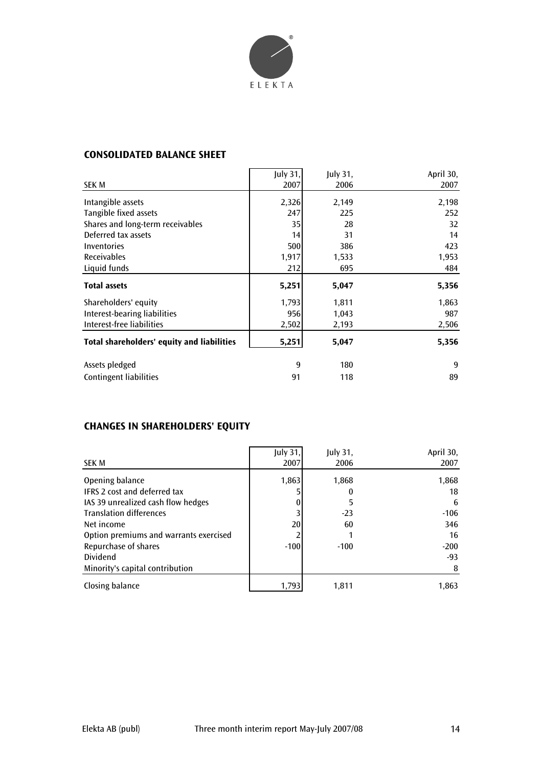![](_page_13_Picture_0.jpeg)

## **CONSOLIDATED BALANCE SHEET**

|                                            | July 31, | July 31, | April 30, |
|--------------------------------------------|----------|----------|-----------|
| SEK M                                      | 2007     | 2006     | 2007      |
| Intangible assets                          | 2,326    | 2,149    | 2,198     |
| Tangible fixed assets                      | 247      | 225      | 252       |
| Shares and long-term receivables           | 35       | 28       | 32        |
| Deferred tax assets                        | 14       | 31       | 14        |
| Inventories                                | 500      | 386      | 423       |
| <b>Receivables</b>                         | 1,917    | 1,533    | 1,953     |
| Liquid funds                               | 212      | 695      | 484       |
| <b>Total assets</b>                        | 5,251    | 5,047    | 5,356     |
| Shareholders' equity                       | 1,793    | 1,811    | 1,863     |
| Interest-bearing liabilities               | 956      | 1,043    | 987       |
| Interest-free liabilities                  | 2,502    | 2,193    | 2,506     |
| Total shareholders' equity and liabilities | 5,251    | 5,047    | 5,356     |
| Assets pledged                             | 9        | 180      | 9         |
| <b>Contingent liabilities</b>              | 91       | 118      | 89        |

# **CHANGES IN SHAREHOLDERS' EQUITY**

| <b>SEK M</b>                           | July 31,<br>2007 | July 31,<br>2006 | April 30,<br>2007 |
|----------------------------------------|------------------|------------------|-------------------|
|                                        |                  |                  |                   |
| Opening balance                        | 1,863            | 1,868            | 1,868             |
| <b>IFRS 2 cost and deferred tax</b>    |                  |                  | 18                |
| IAS 39 unrealized cash flow hedges     |                  |                  | 6                 |
| <b>Translation differences</b>         |                  | $-23$            | $-106$            |
| Net income                             | 20               | 60               | 346               |
| Option premiums and warrants exercised |                  |                  | 16                |
| Repurchase of shares                   | $-100$           | $-100$           | $-200$            |
| Dividend                               |                  |                  | -93               |
| Minority's capital contribution        |                  |                  | 8                 |
| Closing balance                        | 1,793            | 1,811            | 1,863             |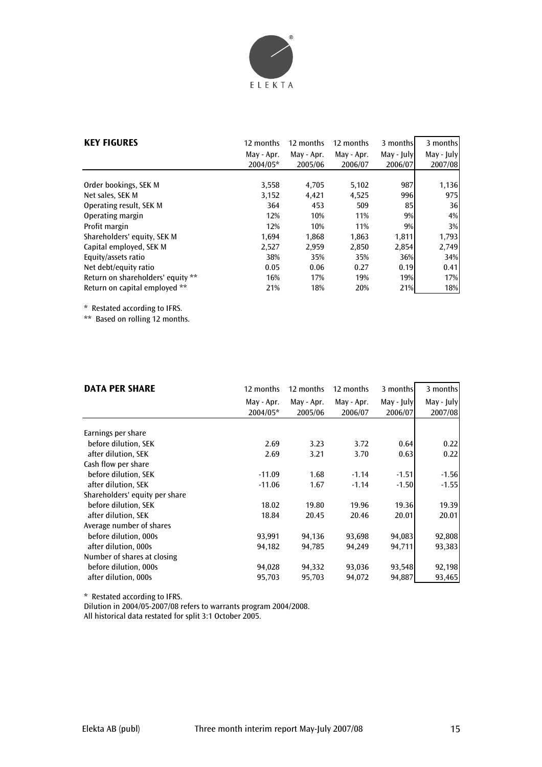![](_page_14_Picture_0.jpeg)

| <b>KEY FIGURES</b>                | 12 months  | 12 months  | 12 months  | 3 months   | 3 months   |
|-----------------------------------|------------|------------|------------|------------|------------|
|                                   | May - Apr. | May - Apr. | May - Apr. | May - July | May - July |
|                                   | 2004/05*   | 2005/06    | 2006/07    | 2006/07    | 2007/08    |
|                                   |            |            |            |            |            |
| Order bookings, SEK M             | 3,558      | 4,705      | 5,102      | 987        | 1,136      |
| Net sales, SEK M                  | 3,152      | 4,421      | 4,525      | 996        | 975        |
| Operating result, SEK M           | 364        | 453        | 509        | 85         | 36         |
| Operating margin                  | 12%        | 10%        | 11%        | 9%         | 4%         |
| Profit margin                     | 12%        | 10%        | 11%        | 9%         | 3%         |
| Shareholders' equity, SEK M       | 1,694      | 1,868      | 1,863      | 1,811      | 1,793      |
| Capital employed, SEK M           | 2,527      | 2,959      | 2,850      | 2,854      | 2,749      |
| Equity/assets ratio               | 38%        | 35%        | 35%        | 36%        | 34%        |
| Net debt/equity ratio             | 0.05       | 0.06       | 0.27       | 0.19       | 0.41       |
| Return on shareholders' equity ** | 16%        | 17%        | 19%        | 19%        | 17%        |
| Return on capital employed **     | 21%        | 18%        | 20%        | 21%        | 18%        |

\* Restated according to IFRS.

\*\* Based on rolling 12 months.

| <b>DATA PER SHARE</b>          | 12 months  | 12 months  | 12 months  | 3 months   | 3 months   |
|--------------------------------|------------|------------|------------|------------|------------|
|                                | May - Apr. | May - Apr. | May - Apr. | May - July | May - July |
|                                | 2004/05*   | 2005/06    | 2006/07    | 2006/07    | 2007/08    |
|                                |            |            |            |            |            |
| Earnings per share             |            |            |            |            |            |
| before dilution, SEK           | 2.69       | 3.23       | 3.72       | 0.64       | 0.22       |
| after dilution, SEK            | 2.69       | 3.21       | 3.70       | 0.63       | 0.22       |
| Cash flow per share            |            |            |            |            |            |
| before dilution, SEK           | $-11.09$   | 1.68       | $-1.14$    | $-1.51$    | $-1.56$    |
| after dilution, SEK            | $-11.06$   | 1.67       | $-1.14$    | $-1.50$    | $-1.55$    |
| Shareholders' equity per share |            |            |            |            |            |
| before dilution, SEK           | 18.02      | 19.80      | 19.96      | 19.36      | 19.39      |
| after dilution, SEK            | 18.84      | 20.45      | 20.46      | 20.01      | 20.01      |
| Average number of shares       |            |            |            |            |            |
| before dilution, 000s          | 93,991     | 94,136     | 93,698     | 94,083     | 92,808     |
| after dilution, 000s           | 94,182     | 94,785     | 94,249     | 94,711     | 93,383     |
| Number of shares at closing    |            |            |            |            |            |
| before dilution, 000s          | 94,028     | 94,332     | 93,036     | 93,548     | 92,198     |
| after dilution, 000s           | 95,703     | 95,703     | 94,072     | 94,887     | 93,465     |

\* Restated according to IFRS.

Dilution in 2004/05-2007/08 refers to warrants program 2004/2008. All historical data restated for split 3:1 October 2005.